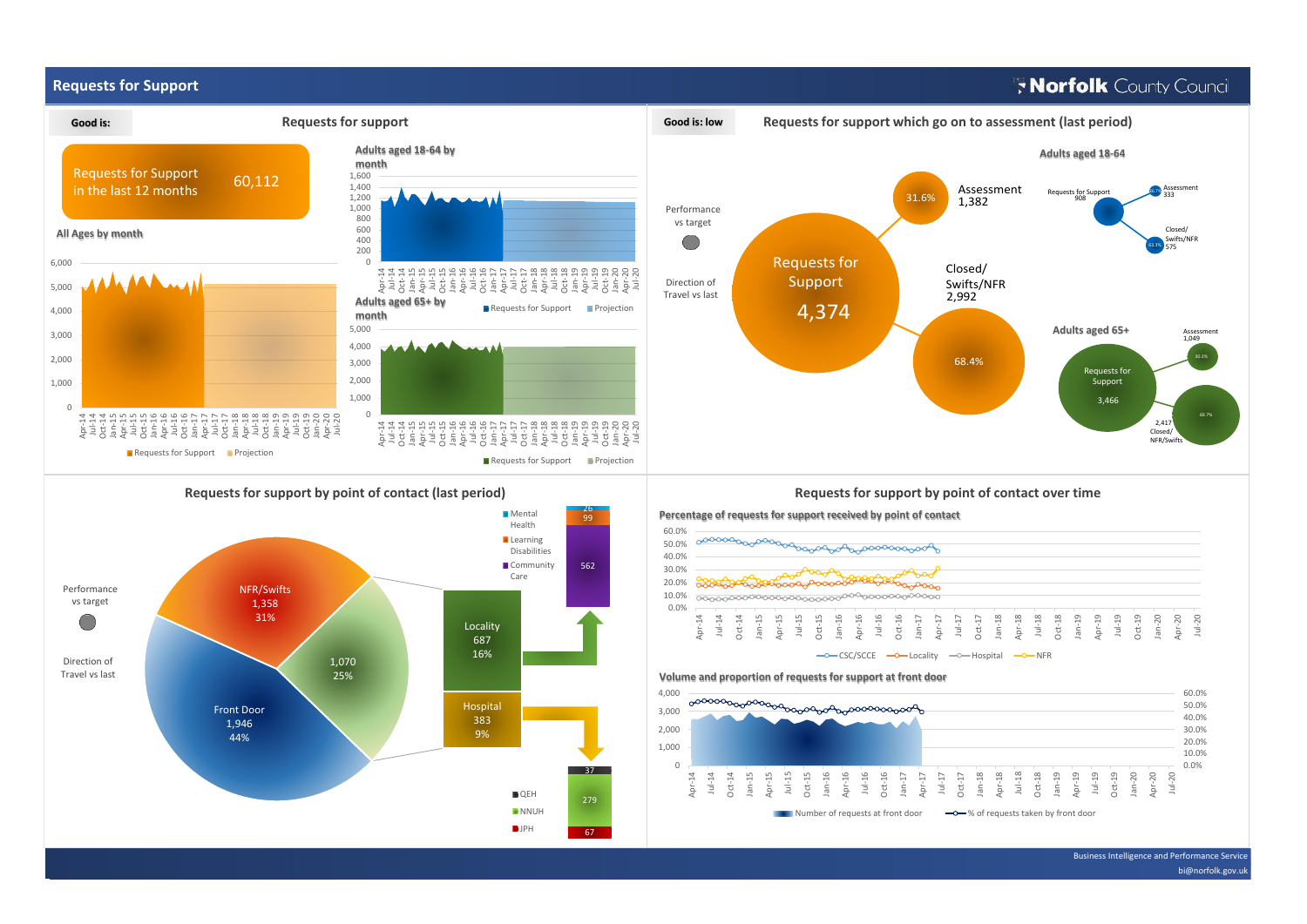## **Requests for Support**

# **Norfolk** County Council



Apr-14

Jul-14

Oct-14 Jan-15 Apr-15 Jul-15 Oct-15

Jan-16 Apr-16

 $\Omega$ 

67

279 37

**QEH NNUH D**JPH

 $\blacksquare$  Number of requests at front door  $\blacksquare$   $\spadesuit$  of requests taken by front door

Jan-18 Apr-18 Jul-18 Oct-18 Jan-19 Apr-19 Jul-19 Oct-19 Jan-20 Apr-20 Jul-20

Jul-16 Oct-16 Jan-17 Apr-17 Jul-17 Oct-17

Business Intelligence and Performance Service

bi@norfolk.gov.ul

0.0%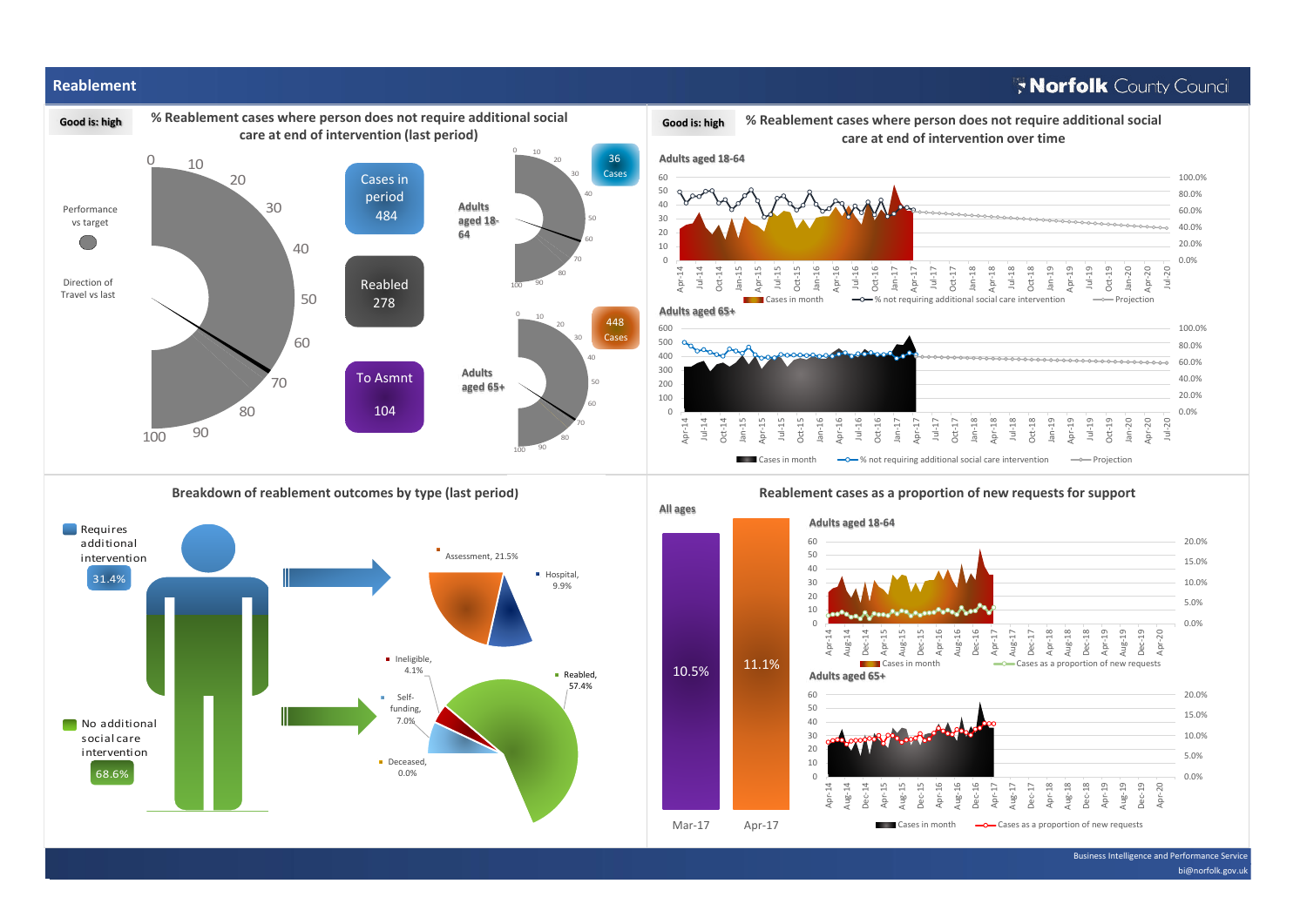

#### Business Intelligence and Performance Service

bi@norfolk.gov.uk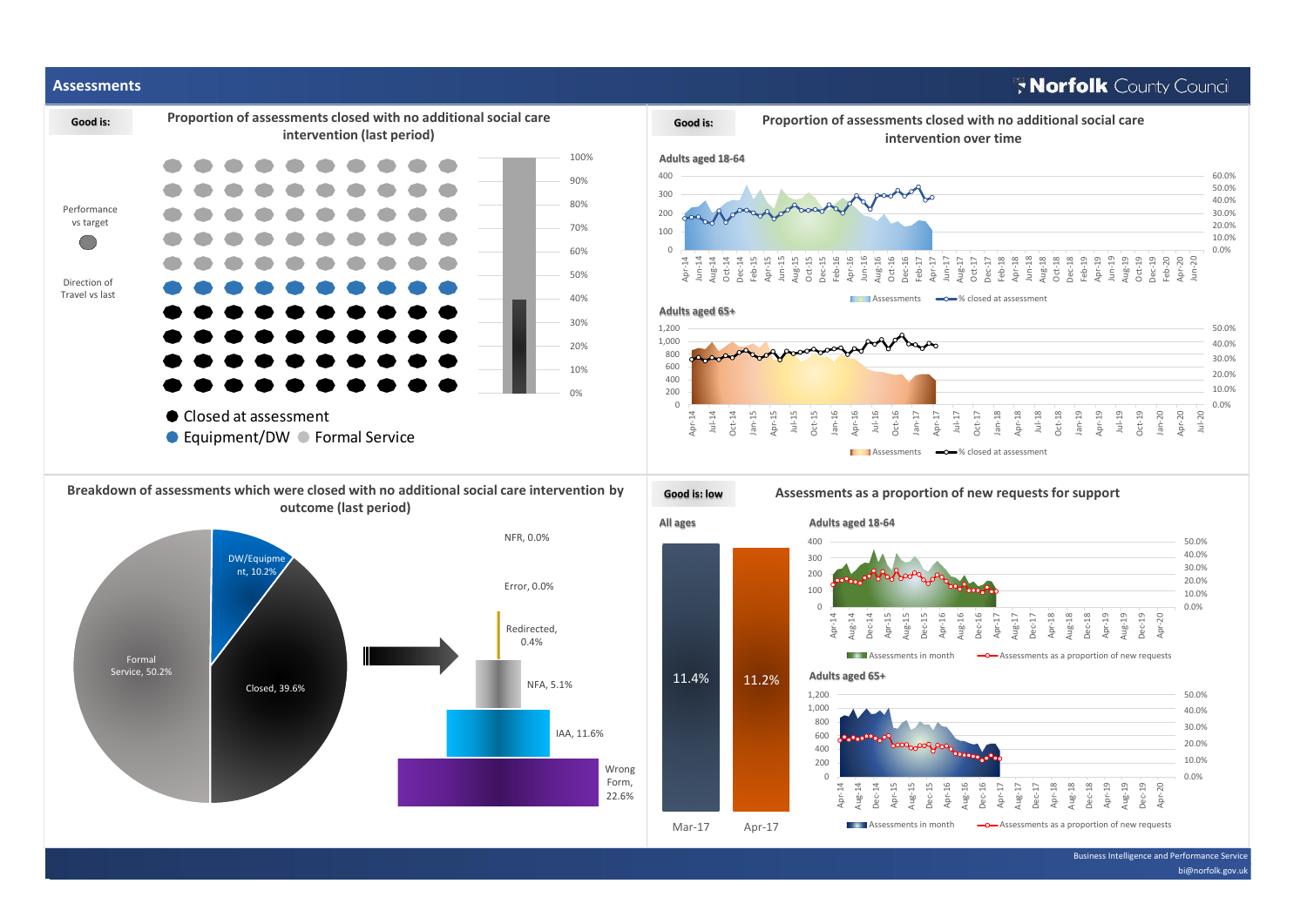# Morfolk County Council

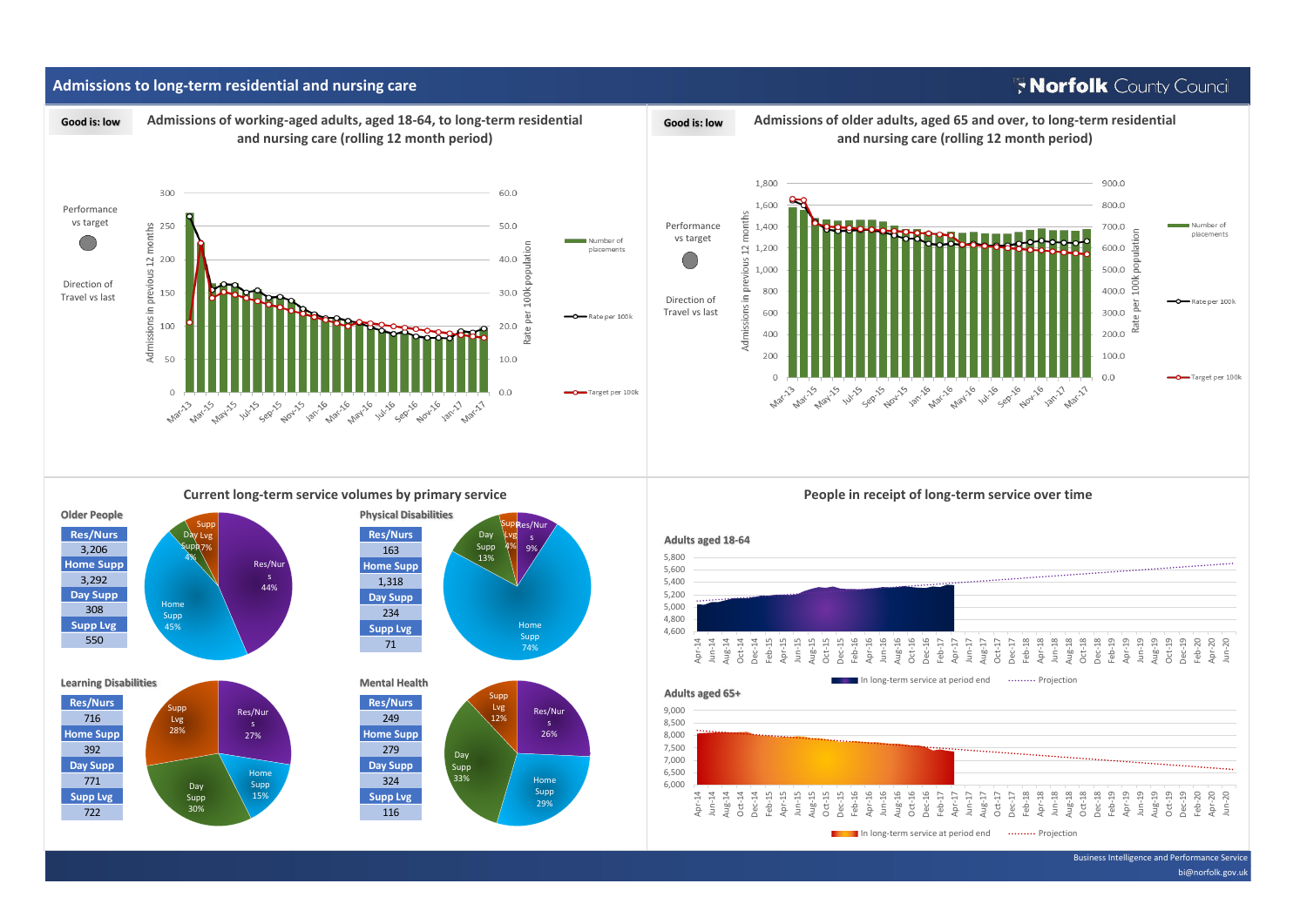## **Admissions to long-term residential and nursing care**

# Morfolk County Council



Business Intelligence and Performance Service bi@norfolk.gov.uk